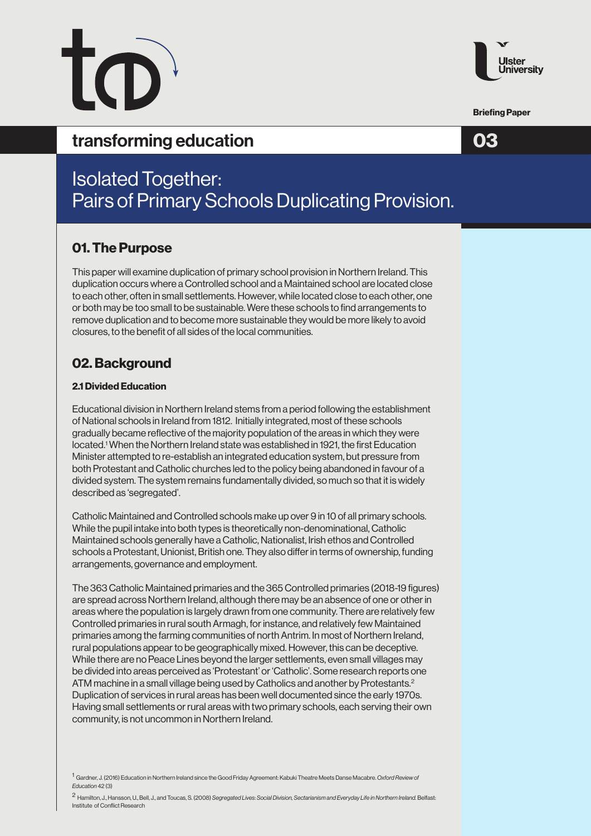

Briefing Paper

## transforming education and the contract of  $\overline{O3}$

# Isolated Together: Pairs of Primary Schools Duplicating Provision.

## 01. The Purpose

This paper will examine duplication of primary school provision in Northern Ireland. This duplication occurs where a Controlled school and a Maintained school are located close to each other, often in small settlements. However, while located close to each other, one or both may be too small to be sustainable. Were these schools to find arrangements to remove duplication and to become more sustainable they would be more likely to avoid closures, to the benefit of all sides of the local communities.

## 02. Background

#### 2.1 Divided Education

Educational division in Northern Ireland stems from a period following the establishment of National schools in Ireland from 1812. Initially integrated, most of these schools gradually became reflective of the majority population of the areas in which they were located.1 When the Northern Ireland state was established in 1921, the first Education Minister attempted to re-establish an integrated education system, but pressure from both Protestant and Catholic churches led to the policy being abandoned in favour of a divided system. The system remains fundamentally divided, so much so that it is widely described as 'segregated'.

Catholic Maintained and Controlled schools make up over 9 in 10 of all primary schools. While the pupil intake into both types is theoretically non-denominational, Catholic Maintained schools generally have a Catholic, Nationalist, Irish ethos and Controlled schools a Protestant, Unionist, British one. They also differ in terms of ownership, funding arrangements, governance and employment.

The 363 Catholic Maintained primaries and the 365 Controlled primaries (2018-19 figures) are spread across Northern Ireland, although there may be an absence of one or other in areas where the population is largely drawn from one community. There are relatively few Controlled primaries in rural south Armagh, for instance, and relatively few Maintained primaries among the farming communities of north Antrim. In most of Northern Ireland, rural populations appear to be geographically mixed. However, this can be deceptive. While there are no Peace Lines beyond the larger settlements, even small villages may be divided into areas perceived as 'Protestant' or 'Catholic'. Some research reports one ATM machine in a small village being used by Catholics and another by Protestants.<sup>2</sup> Duplication of services in rural areas has been well documented since the early 1970s. Having small settlements or rural areas with two primary schools, each serving their own community, is not uncommon in Northern Ireland.

<sup>1</sup> Gardner, J. (2016) Education in Northern Ireland since the Good Friday Agreement: Kabuki Theatre Meets Danse Macabre. *Oxford Review of Education* 42 (3)

<sup>2</sup> Hamilton, J., Hansson, U., Bell, J., and Toucas, S. (2008) *Segregated Lives*: *Social Division, Sectarianism and Everyday Life in Northern Ireland.* Belfast: Institute of Conflict Research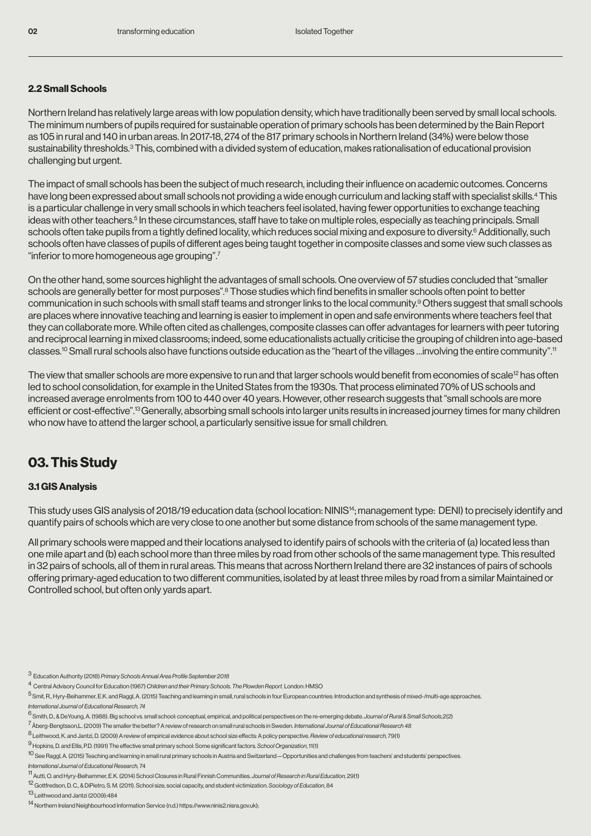#### 2.2 Small Schools

Northern Ireland has relatively large areas with low population density, which have traditionally been served by small local schools. The minimum numbers of pupils required for sustainable operation of primary schools has been determined by the Bain Report as 105 in rural and 140 in urban areas. In 2017-18, 274 of the 817 primary schools in Northern Ireland (34%) were below those sustainability thresholds.<sup>3</sup> This, combined with a divided system of education, makes rationalisation of educational provision challenging but urgent.

The impact of small schools has been the subject of much research, including their influence on academic outcomes. Concerns have long been expressed about small schools not providing a wide enough curriculum and lacking staff with specialist skills.4 This is a particular challenge in very small schools in which teachers feel isolated, having fewer opportunities to exchange teaching ideas with other teachers.<sup>5</sup> In these circumstances, staff have to take on multiple roles, especially as teaching principals. Small schools often take pupils from a tightly defined locality, which reduces social mixing and exposure to diversity.<sup>6</sup> Additionally, such schools often have classes of pupils of different ages being taught together in composite classes and some view such classes as "inferior to more homogeneous age grouping".<sup>7</sup>

On the other hand, some sources highlight the advantages of small schools. One overview of 57 studies concluded that "smaller schools are generally better for most purposes".<sup>8</sup> Those studies which find benefits in smaller schools often point to better communication in such schools with small staff teams and stronger links to the local community.9 Others suggest that small schools are places where innovative teaching and learning is easier to implement in open and safe environments where teachers feel that they can collaborate more. While often cited as challenges, composite classes can offer advantages for learners with peer tutoring and reciprocal learning in mixed classrooms; indeed, some educationalists actually criticise the grouping of children into age-based classes.10 Small rural schools also have functions outside education as the "heart of the villages …involving the entire community".<sup>11</sup>

The view that smaller schools are more expensive to run and that larger schools would benefit from economies of scale<sup>12</sup> has often led to school consolidation, for example in the United States from the 1930s. That process eliminated 70% of US schools and increased average enrolments from 100 to 440 over 40 years. However, other research suggests that "small schools are more efficient or cost-effective".13 Generally, absorbing small schools into larger units results in increased journey times for many children who now have to attend the larger school, a particularly sensitive issue for small children.

## 03. This Study

#### 3.1 GIS Analysis

This study uses GIS analysis of 2018/19 education data (school location: NINIS14; management type: DENI) to precisely identify and quantify pairs of schools which are very close to one another but some distance from schools of the same management type.

All primary schools were mapped and their locations analysed to identify pairs of schools with the criteria of (a) located less than one mile apart and (b) each school more than three miles by road from other schools of the same management type. This resulted in 32 pairs of schools, all of them in rural areas. This means that across Northern Ireland there are 32 instances of pairs of schools offering primary-aged education to two different communities, isolated by at least three miles by road from a similar Maintained or Controlled school, but often only yards apart.

- <sup>3</sup> Education Authority (2018) Primary Schools Annual Area Profile September 2018
- <sup>4</sup> Central Advisory Council for Education (1967) Children and their Primary Schools. The Plowden Report. London: HMSO
- <sup>5</sup> Smit, R., Hyry-Beihammer, E.K. and Raggl, A. (2015) Teaching and learning in small, rural schools in four European countries: Introduction and synthesis of mixed-/multi-age approaches. *International Journal of Educational Research, 74*

- <sup>7</sup> Åberg-Bengtsson,L. (2009) The smaller the better? A review of research on small rural schools in Sweden. International Journal of Educational Research 48
- <sup>8</sup> Leithwood, K. and Jantzi, D. (2009) A review of empirical evidence about school size effects: A policy perspective. *Review of educational research,* 79(1)
- <sup>9</sup> Hopkins, D. and Ellis, P.D. (1991) The effective small primary school: Some significant factors. *School Organization*, 11(1)
- 
- <sup>10</sup> See Raggl, A. (2015) Teaching and learning in small rural primary schools in Austria and Switzerland—Opportunities and challenges from teachers' and students' perspectives. *International Journal of Educational Research,* 74

- <sup>12</sup> Gottfredson, D. C., & DiPietro, S. M. (2011). School size, social capacity, and student victimization. *Sociology of Education*, 84
- <sup>13</sup> Leithwood and Jantzi (2009):484

<sup>6</sup> Smith, D., & DeYoung, A. (1988). Big school vs. small school: conceptual, empirical, and political perspectives on the re-emerging debate. *Journal of Rural & Small Schools,*2(2)

<sup>11</sup> Autti, O. and Hyry-Beihammer, E.K. (2014) School Closures in Rural Finnish Communities. *Journal of Research in Rural Education,* 29(1)

<sup>14</sup> Northern Ireland Neighbourhood Information Service (n.d.) https://www.ninis2.nisra.gov.uk);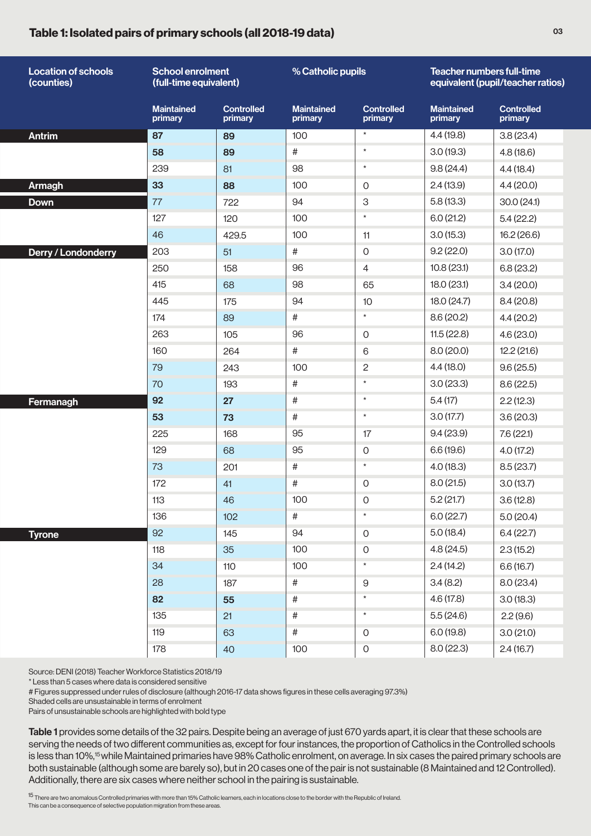#### Table 1: Isolated pairs of primary schools (all 2018-19 data)

| <b>Location of schools</b><br>(counties) | <b>School enrolment</b><br>(full-time equivalent) |                              | % Catholic pupils            |                              | Teacher numbers full-time<br>equivalent (pupil/teacher ratios) |                              |
|------------------------------------------|---------------------------------------------------|------------------------------|------------------------------|------------------------------|----------------------------------------------------------------|------------------------------|
|                                          | <b>Maintained</b><br>primary                      | <b>Controlled</b><br>primary | <b>Maintained</b><br>primary | <b>Controlled</b><br>primary | <b>Maintained</b><br>primary                                   | <b>Controlled</b><br>primary |
| <b>Antrim</b>                            | 87                                                | 89                           | 100                          | $\star$                      | 4.4(19.8)                                                      | 3.8(23.4)                    |
|                                          | 58                                                | 89                           | $\#$                         | $\star$                      | 3.0(19.3)                                                      | 4.8(18.6)                    |
|                                          | 239                                               | 81                           | 98                           | $\star$                      | 9.8(24.4)                                                      | 4.4(18.4)                    |
| <b>Armagh</b>                            | 33                                                | 88                           | 100                          | $\mathbf 0$                  | 2.4(13.9)                                                      | 4.4(20.0)                    |
| <b>Down</b>                              | 77                                                | 722                          | 94                           | 3                            | 5.8(13.3)                                                      | 30.0(24.1)                   |
|                                          | 127                                               | 120                          | 100                          | $\star$                      | 6.0(21.2)                                                      | 5.4(22.2)                    |
|                                          | 46                                                | 429.5                        | 100                          | 11                           | 3.0(15.3)                                                      | 16.2(26.6)                   |
| Derry / Londonderry                      | 203                                               | 51                           | #                            | $\overline{O}$               | 9.2(22.0)                                                      | 3.0(17.0)                    |
|                                          | 250                                               | 158                          | 96                           | $\overline{4}$               | 10.8(23.1)                                                     | 6.8(23.2)                    |
|                                          | 415                                               | 68                           | 98                           | 65                           | 18.0(23.1)                                                     | 3.4(20.0)                    |
|                                          | 445                                               | 175                          | 94                           | 10                           | 18.0(24.7)                                                     | 8.4(20.8)                    |
|                                          | 174                                               | 89                           | $\#$                         | $\star$                      | 8.6(20.2)                                                      | 4.4(20.2)                    |
|                                          | 263                                               | 105                          | 96                           | $\mathbf 0$                  | 11.5(22.8)                                                     | 4.6(23.0)                    |
|                                          | 160                                               | 264                          | $\#$                         | 6                            | 8.0(20.0)                                                      | 12.2(21.6)                   |
|                                          | 79                                                | 243                          | 100                          | $\overline{c}$               | 4.4(18.0)                                                      | 9.6(25.5)                    |
|                                          | 70                                                | 193                          | $\#$                         | $\star$                      | 3.0(23.3)                                                      | 8.6(22.5)                    |
| Fermanagh                                | 92                                                | 27                           | $\#$                         | $\star$                      | 5.4(17)                                                        | 2.2(12.3)                    |
|                                          | 53                                                | 73                           | $\#$                         | $\star$                      | 3.0(17.7)                                                      | 3.6(20.3)                    |
|                                          | 225                                               | 168                          | 95                           | 17                           | 9.4(23.9)                                                      | 7.6(22.1)                    |
|                                          | 129                                               | 68                           | 95                           | $\mathbf 0$                  | 6.6(19.6)                                                      | 4.0(17.2)                    |
|                                          | 73                                                | 201                          | $\#$                         | $\star$                      | 4.0(18.3)                                                      | 8.5(23.7)                    |
|                                          | 172                                               | 41                           | #                            | $\mathbf 0$                  | 8.0(21.5)                                                      | 3.0(13.7)                    |
|                                          | 113                                               | 46                           | 100                          | $\boldsymbol{0}$             | 5.2(21.7)                                                      | 3.6(12.8)                    |
|                                          | 136                                               | 102                          | $^{\#}$                      | $\star$                      | 6.0(22.7)                                                      | 5.0(20.4)                    |
| <b>Tyrone</b>                            | 92                                                | 145                          | 94                           | $\mathsf O$                  | 5.0(18.4)                                                      | 6.4(22.7)                    |
|                                          | 118                                               | 35                           | 100                          | $\mathsf O$                  | 4.8(24.5)                                                      | 2.3(15.2)                    |
|                                          | 34                                                | 110                          | 100                          | $\star$                      | 2.4(14.2)                                                      | 6.6(16.7)                    |
|                                          | 28                                                | 187                          | $\#$                         | $\hbox{9}$                   | 3.4(8.2)                                                       | 8.0 (23.4)                   |
|                                          | 82                                                | 55                           | $\#$                         | $\star$                      | 4.6(17.8)                                                      | 3.0(18.3)                    |
|                                          | 135                                               | 21                           | $\#$                         | $\star$                      | 5.5(24.6)                                                      | 2.2(9.6)                     |
|                                          | 119                                               | 63                           | $\#$                         | $\mathsf O$                  | 6.0(19.8)                                                      | 3.0(21.0)                    |
|                                          | 178                                               | 40                           | 100                          | $\mathsf{O}\xspace$          | 8.0(22.3)                                                      | 2.4(16.7)                    |

Source: DENI (2018) Teacher Workforce Statistics 2018/19

\* Less than 5 cases where data is considered sensitive

# Figures suppressed under rules of disclosure (although 2016-17 data shows figures in these cells averaging 97.3%)

Shaded cells are unsustainable in terms of enrolment

Pairs of unsustainable schools are highlighted with bold type

Table 1 provides some details of the 32 pairs. Despite being an average of just 670 yards apart, it is clear that these schools are serving the needs of two different communities as, except for four instances, the proportion of Catholics in the Controlled schools is less than 10%,<sup>15</sup> while Maintained primaries have 98% Catholic enrolment, on average. In six cases the paired primary schools are both sustainable (although some are barely so), but in 20 cases one of the pair is not sustainable (8 Maintained and 12 Controlled). Additionally, there are six cases where neither school in the pairing is sustainable.

<sup>15</sup> There are two anomalous Controlled primaries with more than 15% Catholic learners, each in locations close to the border with the Republic of Ireland. This can be a consequence of selective population migration from these areas.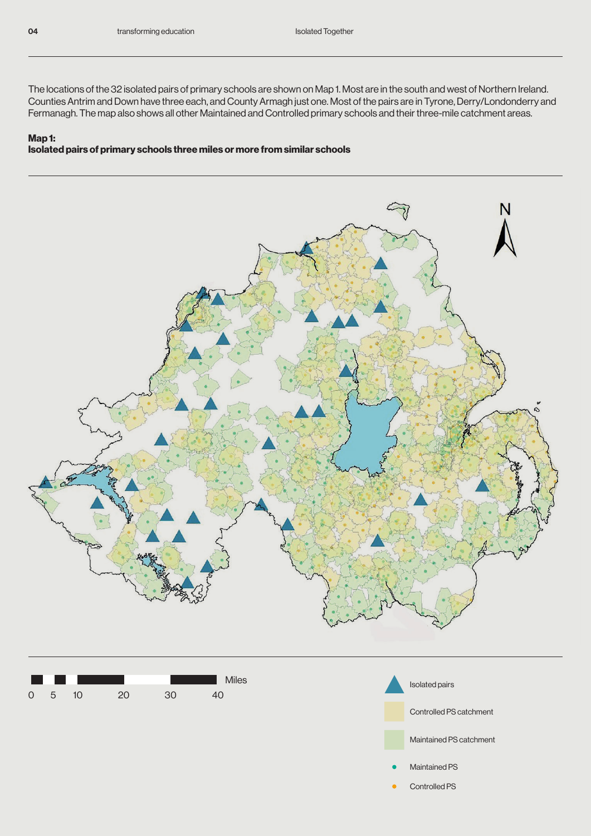The locations of the 32 isolated pairs of primary schools are shown on Map 1. Most are in the south and west of Northern Ireland. Counties Antrim and Down have three each, and County Armagh just one. Most of the pairs are in Tyrone, Derry/Londonderry and Fermanagh. The map also shows all other Maintained and Controlled primary schools and their three-mile catchment areas.

#### Map 1: Isolated pairs of primary schools three miles or more from similar schools





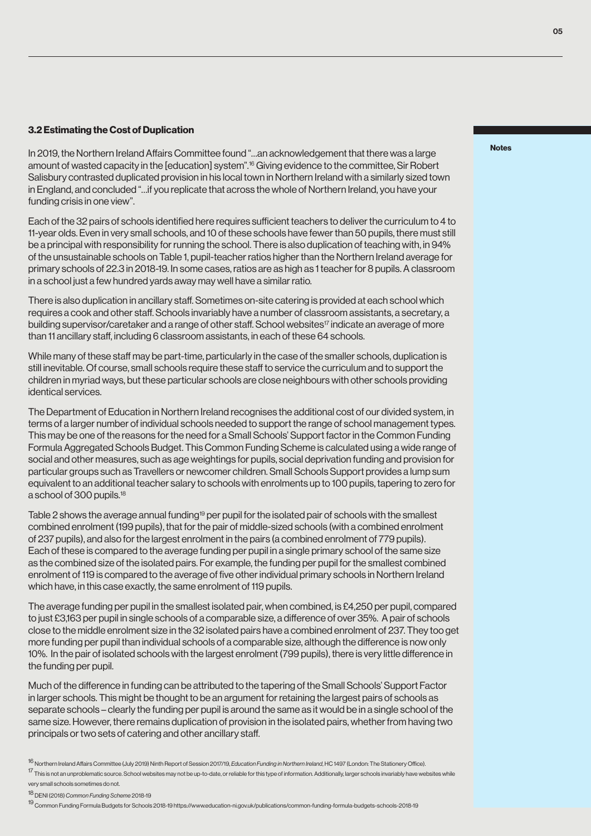#### 3.2 Estimating the Cost of Duplication

In 2019, the Northern Ireland Affairs Committee found "…an acknowledgement that there was a large amount of wasted capacity in the [education] system".16 Giving evidence to the committee, Sir Robert Salisbury contrasted duplicated provision in his local town in Northern Ireland with a similarly sized town in England, and concluded "…if you replicate that across the whole of Northern Ireland, you have your funding crisis in one view".

Each of the 32 pairs of schools identified here requires sufficient teachers to deliver the curriculum to 4 to 11-year olds. Even in very small schools, and 10 of these schools have fewer than 50 pupils, there must still be a principal with responsibility for running the school. There is also duplication of teaching with, in 94% of the unsustainable schools on Table 1, pupil-teacher ratios higher than the Northern Ireland average for primary schools of 22.3 in 2018-19. In some cases, ratios are as high as 1 teacher for 8 pupils. A classroom in a school just a few hundred yards away may well have a similar ratio.

There is also duplication in ancillary staff. Sometimes on-site catering is provided at each school which requires a cook and other staff. Schools invariably have a number of classroom assistants, a secretary, a building supervisor/caretaker and a range of other staff. School websites<sup>17</sup> indicate an average of more than 11 ancillary staff, including 6 classroom assistants, in each of these 64 schools.

While many of these staff may be part-time, particularly in the case of the smaller schools, duplication is still inevitable. Of course, small schools require these staff to service the curriculum and to support the children in myriad ways, but these particular schools are close neighbours with other schools providing identical services.

The Department of Education in Northern Ireland recognises the additional cost of our divided system, in terms of a larger number of individual schools needed to support the range of school management types. This may be one of the reasons for the need for a Small Schools' Support factor in the Common Funding Formula Aggregated Schools Budget. This Common Funding Scheme is calculated using a wide range of social and other measures, such as age weightings for pupils, social deprivation funding and provision for particular groups such as Travellers or newcomer children. Small Schools Support provides a lump sum equivalent to an additional teacher salary to schools with enrolments up to 100 pupils, tapering to zero for a school of 300 pupils.18

Table 2 shows the average annual funding<sup>19</sup> per pupil for the isolated pair of schools with the smallest combined enrolment (199 pupils), that for the pair of middle-sized schools (with a combined enrolment of 237 pupils), and also for the largest enrolment in the pairs (a combined enrolment of 779 pupils). Each of these is compared to the average funding per pupil in a single primary school of the same size as the combined size of the isolated pairs. For example, the funding per pupil for the smallest combined enrolment of 119 is compared to the average of five other individual primary schools in Northern Ireland which have, in this case exactly, the same enrolment of 119 pupils.

The average funding per pupil in the smallest isolated pair, when combined, is £4,250 per pupil, compared to just £3,163 per pupil in single schools of a comparable size, a difference of over 35%. A pair of schools close to the middle enrolment size in the 32 isolated pairs have a combined enrolment of 237. They too get more funding per pupil than individual schools of a comparable size, although the difference is now only 10%. In the pair of isolated schools with the largest enrolment (799 pupils), there is very little difference in the funding per pupil.

Much of the difference in funding can be attributed to the tapering of the Small Schools' Support Factor in larger schools. This might be thought to be an argument for retaining the largest pairs of schools as separate schools – clearly the funding per pupil is around the same as it would be in a single school of the same size. However, there remains duplication of provision in the isolated pairs, whether from having two principals or two sets of catering and other ancillary staff.

Notes

<sup>16</sup> Northern Ireland Affairs Committee (July 2019) Ninth Report of Session 2017/19, *Education Funding in Northern Ireland*, HC 1497 (London: The Stationery Office).

<sup>17</sup> This is not an unproblematic source. School websites may not be up-to-date, or reliable for this type of information. Additionally, larger schools invariably have websites while very small schools sometimes do not.

<sup>18</sup> DENI (2018) *Common Funding Scheme* 2018-19

<sup>19</sup> Common Funding Formula Budgets for Schools 2018-19 https://www.education-ni.gov.uk/publications/common-funding-formula-budgets-schools-2018-19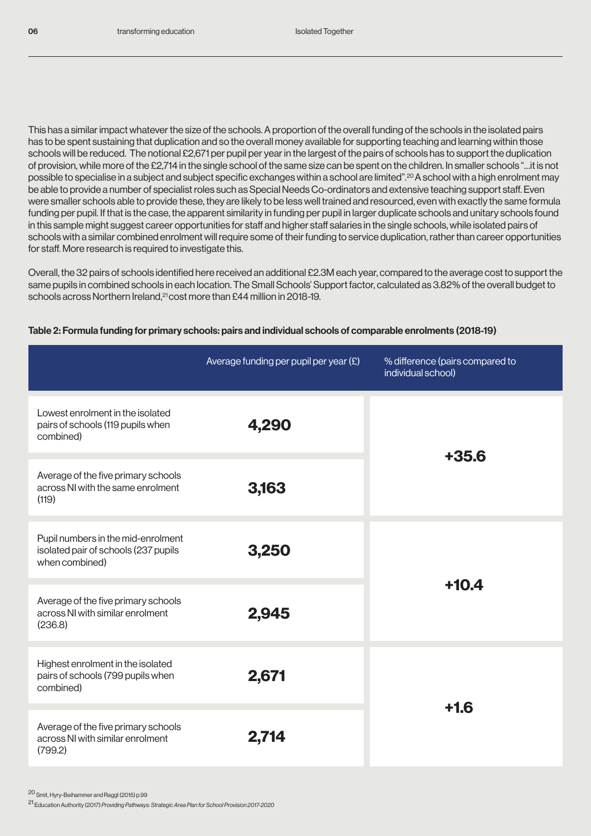This has a similar impact whatever the size of the schools. A proportion of the overall funding of the schools in the isolated pairs has to be spent sustaining that duplication and so the overall money available for supporting teaching and learning within those schools will be reduced. The notional £2,671 per pupil per year in the largest of the pairs of schools has to support the duplication of provision, while more of the £2,714 in the single school of the same size can be spent on the children. In smaller schools "…it is not possible to specialise in a subject and subject specific exchanges within a school are limited".20 A school with a high enrolment may be able to provide a number of specialist roles such as Special Needs Co-ordinators and extensive teaching support staff. Even were smaller schools able to provide these, they are likely to be less well trained and resourced, even with exactly the same formula funding per pupil. If that is the case, the apparent similarity in funding per pupil in larger duplicate schools and unitary schools found in this sample might suggest career opportunities for staff and higher staff salaries in the single schools, while isolated pairs of schools with a similar combined enrolment will require some of their funding to service duplication, rather than career opportunities for staff. More research is required to investigate this.

Overall, the 32 pairs of schools identified here received an additional £2.3M each year, compared to the average cost to support the same pupils in combined schools in each location. The Small Schools' Support factor, calculated as 3.82% of the overall budget to schools across Northern Ireland,<sup>21</sup> cost more than £44 million in 2018-19.

|                                                                                                       | Average funding per pupil per year $(E)$ | % difference (pairs compared to<br>individual school) |  |
|-------------------------------------------------------------------------------------------------------|------------------------------------------|-------------------------------------------------------|--|
| Lowest enrolment in the isolated<br>pairs of schools (119 pupils when<br>combined)                    | 4,290                                    | $+35.6$                                               |  |
| Average of the five primary schools<br>across NI with the same enrolment<br>(119)                     | 3,163                                    |                                                       |  |
| Pupil numbers in the mid-enrolment<br>3,250<br>isolated pair of schools (237 pupils<br>when combined) |                                          |                                                       |  |
| Average of the five primary schools<br>across NI with similar enrolment<br>(236.8)                    | 2,945                                    | $+10.4$                                               |  |
| Highest enrolment in the isolated<br>pairs of schools (799 pupils when<br>combined)                   | 2,671                                    | $+1.6$                                                |  |
| Average of the five primary schools<br>across NI with similar enrolment<br>(799.2)                    | 2,714                                    |                                                       |  |

#### Table 2: Formula funding for primary schools: pairs and individual schools of comparable enrolments (2018-19)

<sup>20</sup> Smit, Hyry-Beihammer and Raggl (2015) p.99

<sup>21</sup> Education Authority (2017) Providing Pathways: Strategic Area Plan for School Provision 2017-2020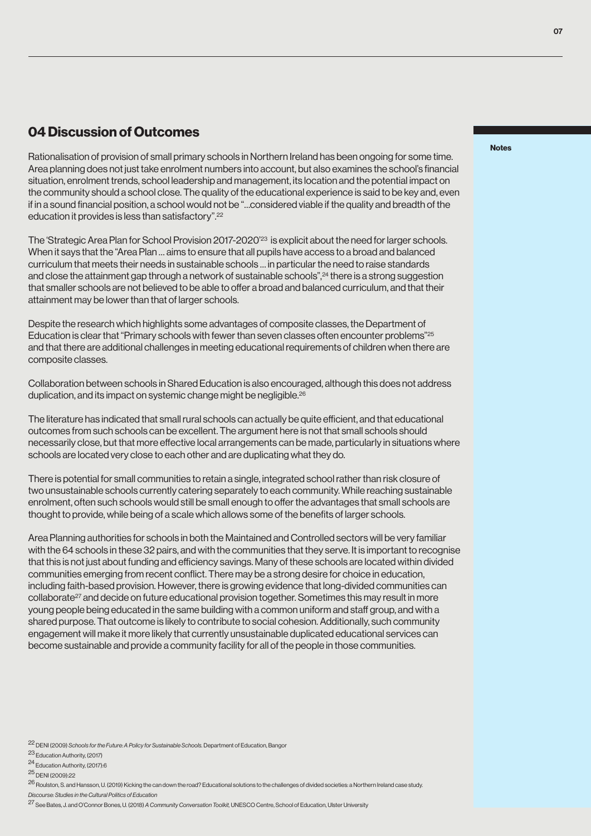## 04 Discussion of Outcomes

Rationalisation of provision of small primary schools in Northern Ireland has been ongoing for some time. Area planning does not just take enrolment numbers into account, but also examines the school's financial situation, enrolment trends, school leadership and management, its location and the potential impact on the community should a school close. The quality of the educational experience is said to be key and, even if in a sound financial position, a school would not be "…considered viable if the quality and breadth of the education it provides is less than satisfactory".<sup>22</sup>

The 'Strategic Area Plan for School Provision 2017-2020'<sup>23</sup> is explicit about the need for larger schools. When it says that the "Area Plan … aims to ensure that all pupils have access to a broad and balanced curriculum that meets their needs in sustainable schools … in particular the need to raise standards and close the attainment gap through a network of sustainable schools",<sup>24</sup> there is a strong suggestion that smaller schools are not believed to be able to offer a broad and balanced curriculum, and that their attainment may be lower than that of larger schools.

Despite the research which highlights some advantages of composite classes, the Department of Education is clear that "Primary schools with fewer than seven classes often encounter problems"<sup>25</sup> and that there are additional challenges in meeting educational requirements of children when there are composite classes.

Collaboration between schools in Shared Education is also encouraged, although this does not address duplication, and its impact on systemic change might be negligible.<sup>26</sup>

The literature has indicated that small rural schools can actually be quite efficient, and that educational outcomes from such schools can be excellent. The argument here is not that small schools should necessarily close, but that more effective local arrangements can be made, particularly in situations where schools are located very close to each other and are duplicating what they do.

There is potential for small communities to retain a single, integrated school rather than risk closure of two unsustainable schools currently catering separately to each community. While reaching sustainable enrolment, often such schools would still be small enough to offer the advantages that small schools are thought to provide, while being of a scale which allows some of the benefits of larger schools.

Area Planning authorities for schools in both the Maintained and Controlled sectors will be very familiar with the 64 schools in these 32 pairs, and with the communities that they serve. It is important to recognise that this is not just about funding and efficiency savings. Many of these schools are located within divided communities emerging from recent conflict. There may be a strong desire for choice in education, including faith-based provision. However, there is growing evidence that long-divided communities can collaborate27 and decide on future educational provision together. Sometimes this may result in more young people being educated in the same building with a common uniform and staff group, and with a shared purpose. That outcome is likely to contribute to social cohesion. Additionally, such community engagement will make it more likely that currently unsustainable duplicated educational services can become sustainable and provide a community facility for all of the people in those communities.

*Discourse: Studies in the Cultural Politics of Education*

#### Notes

<sup>22</sup> DENI (2009) Schools for the Future: A Policy for Sustainable Schools. Department of Education, Bangor

<sup>23</sup> Education Authority, (2017)

<sup>24</sup> Education Authority, (2017):6

<sup>25</sup> DENI (2009):22

<sup>26</sup> Roulston, S. and Hansson, U. (2019) Kicking the can down the road? Educational solutions to the challenges of divided societies: a Northern Ireland case study.

<sup>27</sup> See Bates, J. and O'Connor Bones, U. (2018) *A Community Conversation Toolkit,* UNESCO Centre, School of Education, Ulster University